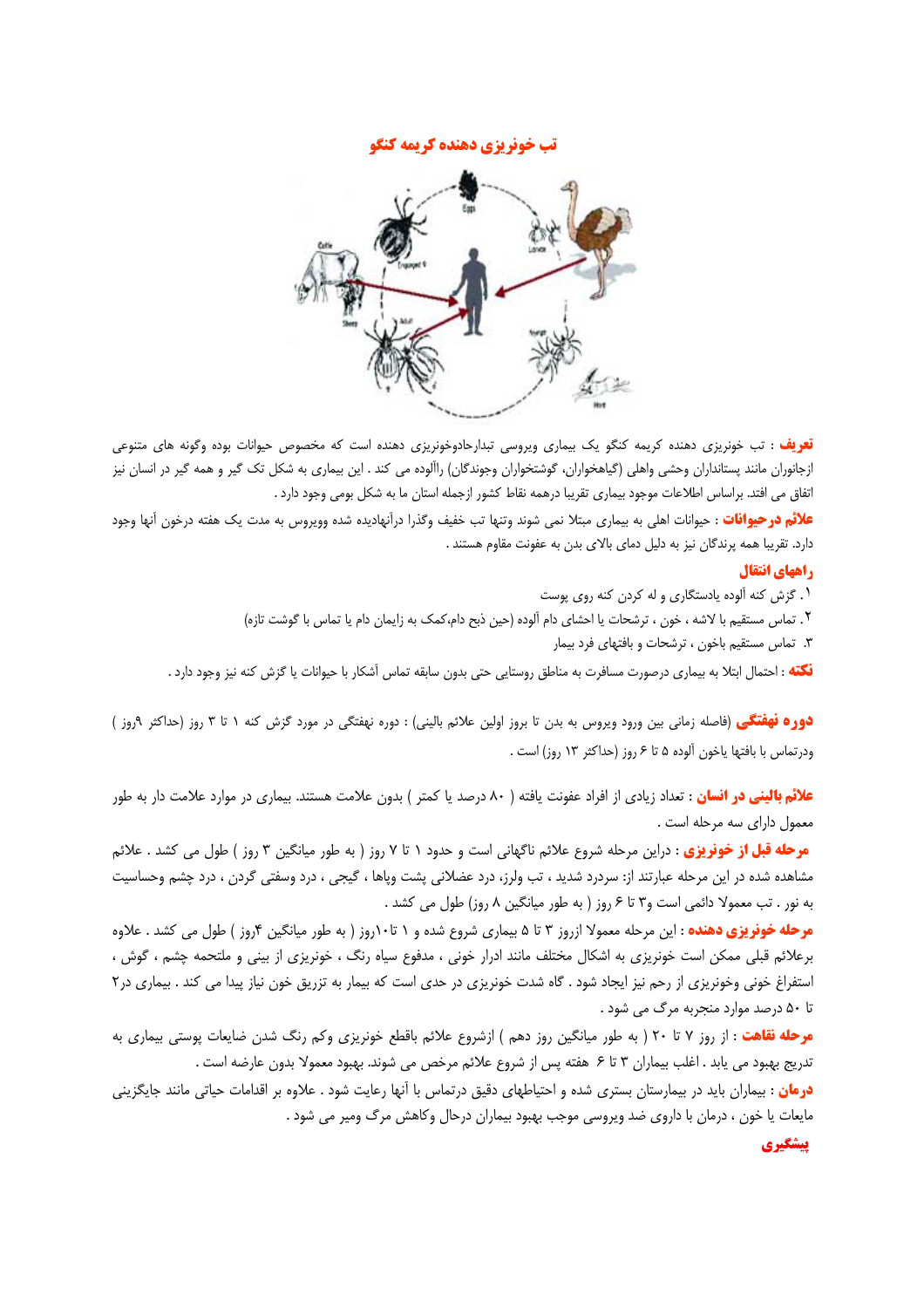## تب خونریزی دهنده کریمه کنگو



<mark>تعریف</mark> : تب خونریزی دهنده کریمه کنگو یک بیماری ویروسی تبدارحادوخونریزی دهنده است که مخصوص حیوانات بوده وگونه های متنوعی ازجانوران مانند پستانداران وحشی واهلی (گیاهخواران، گوشتخواران وجوندگان) راآلوده می کند . این بیماری به شکل تک گیر و همه گیر در انسان نیز اتفاق می افتد. براساس اطلاعات موجود بیماری تقریبا درهمه نقاط کشور ازجمله استان ما به شکل بومی وجود دارد .

**علائم در حیوانات** : حیوانات اهلی به بیماری مبتلا نمی شوند وتنها تب خفیف وگذرا درآنهادیده شده وویروس به مدت یک هفته درخون آنها وجود دارد. تقریبا همه پرندگان نیز به دلیل دمای بالای بدن به عفونت مقاوم هستند .

## راههای انتقال

١. گزش كنه آلوده يادستگارى و له كردن كنه روى پوست

٢. تماس مستقيم با لاشه ، خون ، ترشحات يا احشاى دام آلوده (حين ذبح دام،كمك به زايمان دام يا تماس با گوشت تازه)

۳. تماس مستقیم باخون ، ترشحات و بافتهای فرد بیمار

.<br>فکته : احتمال ابتلا به بیماری درصورت مسافرت به مناطق روستایی حتی بدون سابقه تماس آشکار با حیوانات یا گزش کنه نیز وجود دارد

**دوره نهفتگی** (فاصله زمانی بین ورود ویروس به بدن تا بروز اولین علائم بالینی) : دوره نهفتگی در مورد گزش کنه ۱ تا ۳ روز (حداکثر ۹روز ) ودرتماس با بافتها ياخون آلوده ۵ تا ۶ روز (حداكثر ۱۳ روز) است .

**علائم بالینی در انسان :** تعداد زیادی از افراد عفونت یافته ( ۸۰ درصد یا کمتر ) بدون علامت هستند. بیماری در موارد علامت دار به طور معمول دارای سه مرحله است .

**مرحله قبل از خونریزی** : دراین مرحله شروع علائم ناگهانی است و حدود ۱ تا ۷ روز ( به طور میانگین ۳ روز ) طول می کشد . علائم مشاهده شده در این مرحله عبارتند از: سردرد شدید ، تب ولرز، درد عضلانی پشت ویاها ، گیجی ، درد وسفتی گردن ، درد چشم وحساسیت به نور . تب معمولا دائمي است و٣ تا ۶ روز ( به طور ميانگين ٨ روز) طول مي كشد .

**مرحله خونریزی دهنده** : این مرحله معمولا ازروز ۳ تا ۵ بیماری شروع شده و ۱ تا۱۰روز ( به طور میانگین ۴روز ) طول می کشد . علاوه برعلائم قبلی ممکن است خونریزی به اشکال مختلف مانند ادرار خونی ، مدفوع سیاه رنگ ، خونریزی از بینی و ملتحمه چشم ، گوش ، استفراغ خونی وخونریزی از رحم نیز ایجاد شود . گاه شدت خونریزی در حدی است که بیمار به تزریق خون نیاز پیدا می کند . بیماری در ۲ تا ۵۰ درصد موارد منجربه مرگ می شود .

<mark>مرحله نقاهت</mark> : از روز ۷ تا ۲۰ ( به طور میانگین روز دهم ) ازشروع علائم باقطع خونریزی وکم رنگ شدن ضایعات پوستی بیماری به تدريج بهبود مي يابد . اغلب بيماران ٣ تا ۶ هفته پس از شروع علائم مرخص مي شوند. بهبود معمولا بدون عارضه است .

**درمان :** بیماران باید در بیمارستان بستری شده و احتیاطهای دقیق درتماس با آنها رعایت شود . علاوه بر اقدامات حیاتی مانند جایگزینی مایعات یا خون ، درمان با داروی ضد ویروسی موجب بهبود بیماران درحال وکاهش مرگ ومیر می شود .

ييشكيري